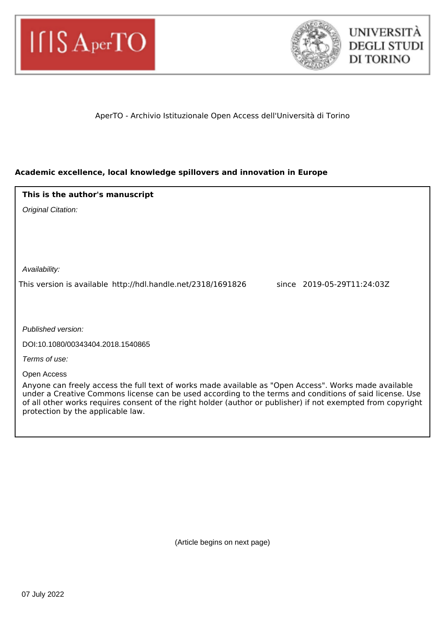



## AperTO - Archivio Istituzionale Open Access dell'Università di Torino

## **Academic excellence, local knowledge spillovers and innovation in Europe**

| This is the author's manuscript                                                                                                                                                                                                                                                                                                                                       |
|-----------------------------------------------------------------------------------------------------------------------------------------------------------------------------------------------------------------------------------------------------------------------------------------------------------------------------------------------------------------------|
| Original Citation:                                                                                                                                                                                                                                                                                                                                                    |
|                                                                                                                                                                                                                                                                                                                                                                       |
|                                                                                                                                                                                                                                                                                                                                                                       |
|                                                                                                                                                                                                                                                                                                                                                                       |
| Availability:                                                                                                                                                                                                                                                                                                                                                         |
| since 2019-05-29T11:24:03Z<br>This version is available http://hdl.handle.net/2318/1691826                                                                                                                                                                                                                                                                            |
|                                                                                                                                                                                                                                                                                                                                                                       |
|                                                                                                                                                                                                                                                                                                                                                                       |
| Published version:                                                                                                                                                                                                                                                                                                                                                    |
| DOI:10.1080/00343404.2018.1540865                                                                                                                                                                                                                                                                                                                                     |
| Terms of use:                                                                                                                                                                                                                                                                                                                                                         |
| Open Access                                                                                                                                                                                                                                                                                                                                                           |
| Anyone can freely access the full text of works made available as "Open Access". Works made available<br>under a Creative Commons license can be used according to the terms and conditions of said license. Use<br>of all other works requires consent of the right holder (author or publisher) if not exempted from copyright<br>protection by the applicable law. |

(Article begins on next page)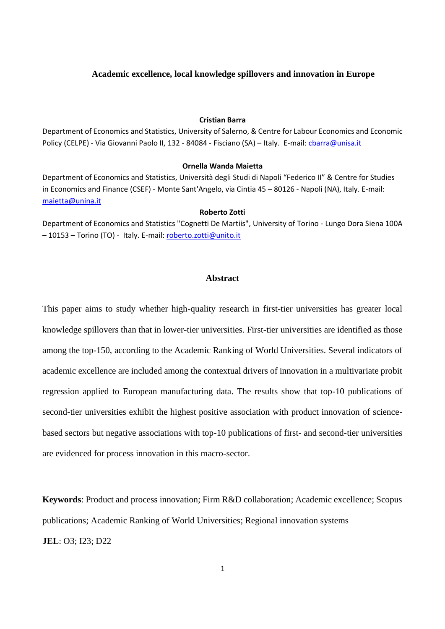#### **Academic excellence, local knowledge spillovers and innovation in Europe**

#### **Cristian Barra**

Department of Economics and Statistics, University of Salerno, & Centre for Labour Economics and Economic Policy (CELPE) - Via Giovanni Paolo II, 132 - 84084 - Fisciano (SA) - Italy. E-mail: *charra@unisa.it* 

#### **Ornella Wanda Maietta**

Department of Economics and Statistics, Università degli Studi di Napoli "Federico II" & Centre for Studies in Economics and Finance (CSEF) - Monte Sant'Angelo, via Cintia 45 – 80126 - Napoli (NA), Italy. E-mail: [maietta@unina.it](mailto:maietta@unina.it)

#### **Roberto Zotti**

Department of Economics and Statistics "Cognetti De Martiis", University of Torino - Lungo Dora Siena 100A – 10153 – Torino (TO) - Italy. E-mail[: roberto.zotti@unito.it](mailto:roberto.zotti@unito.it)

#### **Abstract**

This paper aims to study whether high-quality research in first-tier universities has greater local knowledge spillovers than that in lower-tier universities. First-tier universities are identified as those among the top-150, according to the Academic Ranking of World Universities. Several indicators of academic excellence are included among the contextual drivers of innovation in a multivariate probit regression applied to European manufacturing data. The results show that top-10 publications of second-tier universities exhibit the highest positive association with product innovation of sciencebased sectors but negative associations with top-10 publications of first- and second-tier universities are evidenced for process innovation in this macro-sector.

**Keywords**: Product and process innovation; Firm R&D collaboration; Academic excellence; Scopus publications; Academic Ranking of World Universities; Regional innovation systems **JEL**: O3; I23; D22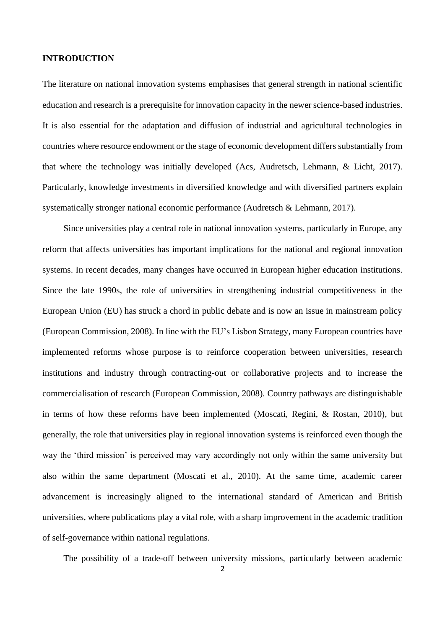#### **INTRODUCTION**

The literature on national innovation systems emphasises that general strength in national scientific education and research is a prerequisite for innovation capacity in the newer science-based industries. It is also essential for the adaptation and diffusion of industrial and agricultural technologies in countries where resource endowment or the stage of economic development differs substantially from that where the technology was initially developed (Acs, Audretsch, Lehmann, & Licht, 2017). Particularly, knowledge investments in diversified knowledge and with diversified partners explain systematically stronger national economic performance (Audretsch & Lehmann, 2017).

Since universities play a central role in national innovation systems, particularly in Europe, any reform that affects universities has important implications for the national and regional innovation systems. In recent decades, many changes have occurred in European higher education institutions. Since the late 1990s, the role of universities in strengthening industrial competitiveness in the European Union (EU) has struck a chord in public debate and is now an issue in mainstream policy (European Commission, 2008). In line with the EU's Lisbon Strategy, many European countries have implemented reforms whose purpose is to reinforce cooperation between universities, research institutions and industry through contracting-out or collaborative projects and to increase the commercialisation of research (European Commission, 2008). Country pathways are distinguishable in terms of how these reforms have been implemented (Moscati, Regini, & Rostan, 2010), but generally, the role that universities play in regional innovation systems is reinforced even though the way the 'third mission' is perceived may vary accordingly not only within the same university but also within the same department (Moscati et al., 2010). At the same time, academic career advancement is increasingly aligned to the international standard of American and British universities, where publications play a vital role, with a sharp improvement in the academic tradition of self-governance within national regulations.

The possibility of a trade-off between university missions, particularly between academic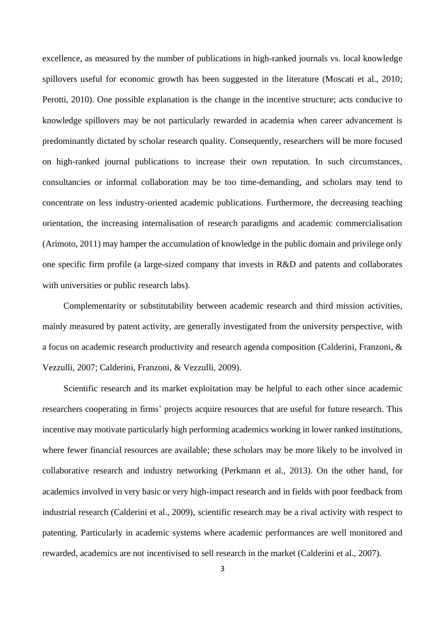excellence, as measured by the number of publications in high-ranked journals vs. local knowledge spillovers useful for economic growth has been suggested in the literature (Moscati et al., 2010; Perotti, 2010). One possible explanation is the change in the incentive structure; acts conducive to knowledge spillovers may be not particularly rewarded in academia when career advancement is predominantly dictated by scholar research quality. Consequently, researchers will be more focused on high-ranked journal publications to increase their own reputation. In such circumstances, consultancies or informal collaboration may be too time-demanding, and scholars may tend to concentrate on less industry-oriented academic publications. Furthermore, the decreasing teaching orientation, the increasing internalisation of research paradigms and academic commercialisation (Arimoto, 2011) may hamper the accumulation of knowledge in the public domain and privilege only one specific firm profile (a large-sized company that invests in R&D and patents and collaborates with universities or public research labs).

Complementarity or substitutability between academic research and third mission activities, mainly measured by patent activity, are generally investigated from the university perspective, with a focus on academic research productivity and research agenda composition (Calderini, Franzoni, & Vezzulli, 2007; Calderini, Franzoni, & Vezzulli, 2009).

Scientific research and its market exploitation may be helpful to each other since academic researchers cooperating in firms' projects acquire resources that are useful for future research. This incentive may motivate particularly high performing academics working in lower ranked institutions, where fewer financial resources are available; these scholars may be more likely to be involved in collaborative research and industry networking (Perkmann et al., 2013). On the other hand, for academics involved in very basic or very high-impact research and in fields with poor feedback from industrial research (Calderini et al., 2009), scientific research may be a rival activity with respect to patenting. Particularly in academic systems where academic performances are well monitored and rewarded, academics are not incentivised to sell research in the market (Calderini et al., 2007).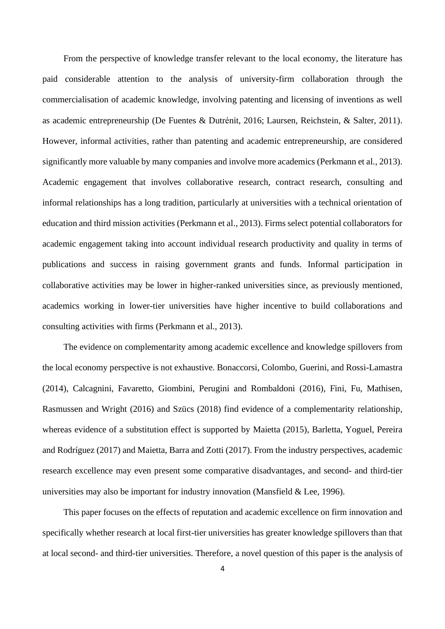From the perspective of knowledge transfer relevant to the local economy, the literature has paid considerable attention to the analysis of university-firm collaboration through the commercialisation of academic knowledge, involving patenting and licensing of inventions as well as academic entrepreneurship (De Fuentes & Dutrénit, 2016; Laursen, Reichstein, & Salter, 2011). However, informal activities, rather than patenting and academic entrepreneurship, are considered significantly more valuable by many companies and involve more academics (Perkmann et al., 2013). Academic engagement that involves collaborative research, contract research, consulting and informal relationships has a long tradition, particularly at universities with a technical orientation of education and third mission activities (Perkmann et al., 2013). Firms select potential collaborators for academic engagement taking into account individual research productivity and quality in terms of publications and success in raising government grants and funds. Informal participation in collaborative activities may be lower in higher-ranked universities since, as previously mentioned, academics working in lower-tier universities have higher incentive to build collaborations and consulting activities with firms (Perkmann et al., 2013).

The evidence on complementarity among academic excellence and knowledge spillovers from the local economy perspective is not exhaustive. Bonaccorsi, Colombo, Guerini, and Rossi-Lamastra (2014), Calcagnini, Favaretto, Giombini, Perugini and Rombaldoni (2016), Fini, Fu, Mathisen, Rasmussen and Wright (2016) and Szücs (2018) find evidence of a complementarity relationship, whereas evidence of a substitution effect is supported by Maietta (2015), Barletta, Yoguel, Pereira and Rodríguez (2017) and Maietta, Barra and Zotti (2017). From the industry perspectives, academic research excellence may even present some comparative disadvantages, and second- and third-tier universities may also be important for industry innovation (Mansfield & Lee, 1996).

This paper focuses on the effects of reputation and academic excellence on firm innovation and specifically whether research at local first-tier universities has greater knowledge spillovers than that at local second- and third-tier universities. Therefore, a novel question of this paper is the analysis of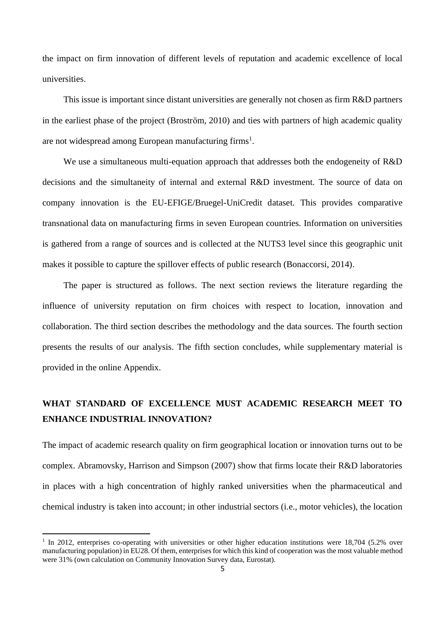the impact on firm innovation of different levels of reputation and academic excellence of local universities.

This issue is important since distant universities are generally not chosen as firm R&D partners in the earliest phase of the project (Broström, 2010) and ties with partners of high academic quality are not widespread among European manufacturing firms<sup>1</sup>.

We use a simultaneous multi-equation approach that addresses both the endogeneity of R&D decisions and the simultaneity of internal and external R&D investment. The source of data on company innovation is the EU-EFIGE/Bruegel-UniCredit dataset. This provides comparative transnational data on manufacturing firms in seven European countries. Information on universities is gathered from a range of sources and is collected at the NUTS3 level since this geographic unit makes it possible to capture the spillover effects of public research (Bonaccorsi, 2014).

The paper is structured as follows. The next section reviews the literature regarding the influence of university reputation on firm choices with respect to location, innovation and collaboration. The third section describes the methodology and the data sources. The fourth section presents the results of our analysis. The fifth section concludes, while supplementary material is provided in the online Appendix.

# **WHAT STANDARD OF EXCELLENCE MUST ACADEMIC RESEARCH MEET TO ENHANCE INDUSTRIAL INNOVATION?**

The impact of academic research quality on firm geographical location or innovation turns out to be complex. Abramovsky, Harrison and Simpson (2007) show that firms locate their R&D laboratories in places with a high concentration of highly ranked universities when the pharmaceutical and chemical industry is taken into account; in other industrial sectors (i.e., motor vehicles), the location

<sup>&</sup>lt;sup>1</sup> In 2012, enterprises co-operating with universities or other higher education institutions were 18,704 (5.2% over manufacturing population) in EU28. Of them, enterprises for which this kind of cooperation was the most valuable method were 31% (own calculation on Community Innovation Survey data, Eurostat).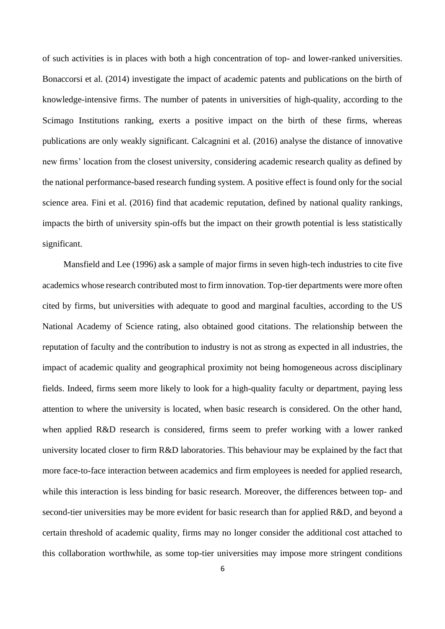of such activities is in places with both a high concentration of top- and lower-ranked universities. Bonaccorsi et al. (2014) investigate the impact of academic patents and publications on the birth of knowledge-intensive firms. The number of patents in universities of high-quality, according to the Scimago Institutions ranking, exerts a positive impact on the birth of these firms, whereas publications are only weakly significant. Calcagnini et al. (2016) analyse the distance of innovative new firms' location from the closest university, considering academic research quality as defined by the national performance-based research funding system. A positive effect is found only for the social science area. Fini et al. (2016) find that academic reputation, defined by national quality rankings, impacts the birth of university spin-offs but the impact on their growth potential is less statistically significant.

Mansfield and Lee (1996) ask a sample of major firms in seven high-tech industries to cite five academics whose research contributed most to firm innovation. Top-tier departments were more often cited by firms, but universities with adequate to good and marginal faculties, according to the US National Academy of Science rating, also obtained good citations. The relationship between the reputation of faculty and the contribution to industry is not as strong as expected in all industries, the impact of academic quality and geographical proximity not being homogeneous across disciplinary fields. Indeed, firms seem more likely to look for a high-quality faculty or department, paying less attention to where the university is located, when basic research is considered. On the other hand, when applied R&D research is considered, firms seem to prefer working with a lower ranked university located closer to firm R&D laboratories. This behaviour may be explained by the fact that more face-to-face interaction between academics and firm employees is needed for applied research, while this interaction is less binding for basic research. Moreover, the differences between top- and second-tier universities may be more evident for basic research than for applied R&D, and beyond a certain threshold of academic quality, firms may no longer consider the additional cost attached to this collaboration worthwhile, as some top-tier universities may impose more stringent conditions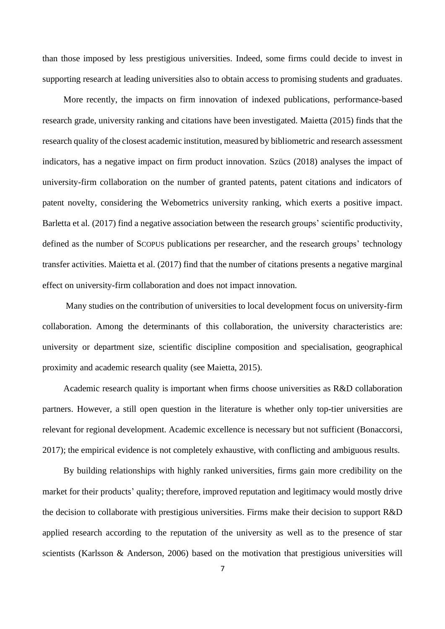than those imposed by less prestigious universities. Indeed, some firms could decide to invest in supporting research at leading universities also to obtain access to promising students and graduates.

More recently, the impacts on firm innovation of indexed publications, performance-based research grade, university ranking and citations have been investigated. Maietta (2015) finds that the research quality of the closest academic institution, measured by bibliometric and research assessment indicators, has a negative impact on firm product innovation. Szücs (2018) analyses the impact of university-firm collaboration on the number of granted patents, patent citations and indicators of patent novelty, considering the Webometrics university ranking, which exerts a positive impact. Barletta et al. (2017) find a negative association between the research groups' scientific productivity, defined as the number of SCOPUS publications per researcher, and the research groups' technology transfer activities. Maietta et al. (2017) find that the number of citations presents a negative marginal effect on university-firm collaboration and does not impact innovation.

Many studies on the contribution of universities to local development focus on university-firm collaboration. Among the determinants of this collaboration, the university characteristics are: university or department size, scientific discipline composition and specialisation, geographical proximity and academic research quality (see Maietta, 2015).

Academic research quality is important when firms choose universities as R&D collaboration partners. However, a still open question in the literature is whether only top-tier universities are relevant for regional development. Academic excellence is necessary but not sufficient (Bonaccorsi, 2017); the empirical evidence is not completely exhaustive, with conflicting and ambiguous results.

By building relationships with highly ranked universities, firms gain more credibility on the market for their products' quality; therefore, improved reputation and legitimacy would mostly drive the decision to collaborate with prestigious universities. Firms make their decision to support R&D applied research according to the reputation of the university as well as to the presence of star scientists (Karlsson & Anderson, 2006) based on the motivation that prestigious universities will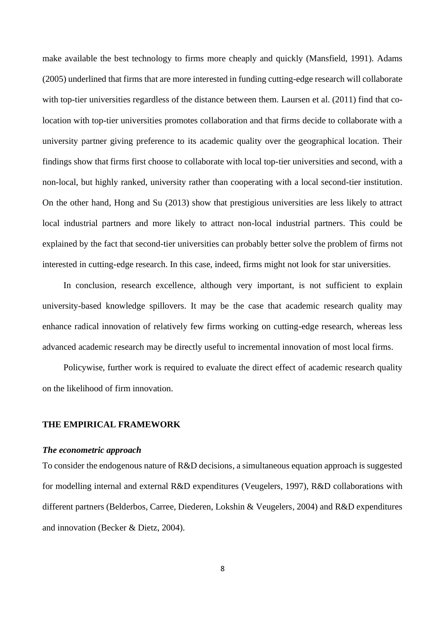make available the best technology to firms more cheaply and quickly (Mansfield, 1991). Adams (2005) underlined that firms that are more interested in funding cutting-edge research will collaborate with top-tier universities regardless of the distance between them. Laursen et al. (2011) find that colocation with top-tier universities promotes collaboration and that firms decide to collaborate with a university partner giving preference to its academic quality over the geographical location. Their findings show that firms first choose to collaborate with local top-tier universities and second, with a non-local, but highly ranked, university rather than cooperating with a local second-tier institution. On the other hand, Hong and Su (2013) show that prestigious universities are less likely to attract local industrial partners and more likely to attract non-local industrial partners. This could be explained by the fact that second-tier universities can probably better solve the problem of firms not interested in cutting-edge research. In this case, indeed, firms might not look for star universities.

In conclusion, research excellence, although very important, is not sufficient to explain university-based knowledge spillovers. It may be the case that academic research quality may enhance radical innovation of relatively few firms working on cutting-edge research, whereas less advanced academic research may be directly useful to incremental innovation of most local firms.

Policywise, further work is required to evaluate the direct effect of academic research quality on the likelihood of firm innovation.

#### **THE EMPIRICAL FRAMEWORK**

#### *The econometric approach*

To consider the endogenous nature of R&D decisions, a simultaneous equation approach is suggested for modelling internal and external R&D expenditures (Veugelers, 1997), R&D collaborations with different partners (Belderbos, Carree, Diederen, Lokshin & Veugelers, 2004) and R&D expenditures and innovation (Becker & Dietz, 2004).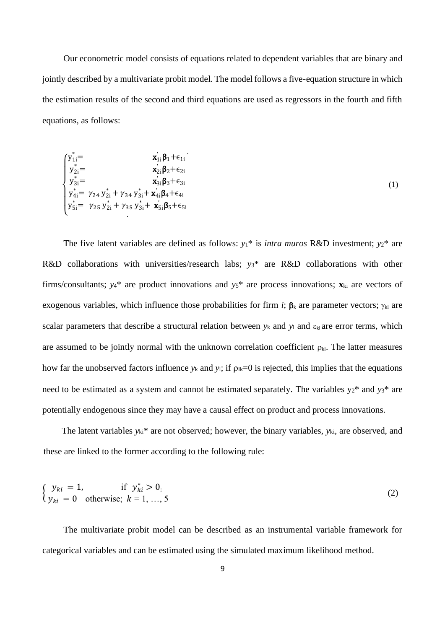Our econometric model consists of equations related to dependent variables that are binary and jointly described by a multivariate probit model. The model follows a five-equation structure in which the estimation results of the second and third equations are used as regressors in the fourth and fifth equations, as follows:

$$
\begin{cases}\ny_{1i}^{*} = x_{1i} \beta_1 + \epsilon_{1i} \\
y_{2i}^{*} = x_{2i} \beta_2 + \epsilon_{2i} \\
y_{3i}^{*} = x_{3i} \beta_3 + \epsilon_{3i} \\
y_{4i}^{*} = \gamma_{24} y_{2i}^{*} + \gamma_{34} y_{3i}^{*} + x_{4i}^{'} \beta_4 + \epsilon_{4i} \\
y_{5i}^{*} = \gamma_{25} y_{2i}^{*} + \gamma_{35} y_{3i}^{*} + x_{5i}^{'} \beta_5 + \epsilon_{5i}\n\end{cases} (1)
$$

The five latent variables are defined as follows:  $y_1$ <sup>\*</sup> is *intra muros* R&D investment;  $y_2$ <sup>\*</sup> are R&D collaborations with universities/research labs; *y*3\* are R&D collaborations with other firms/consultants;  $y_4$ <sup>\*</sup> are product innovations and  $y_5$ <sup>\*</sup> are process innovations;  $\mathbf{x}_{ki}$  are vectors of exogenous variables, which influence those probabilities for firm *i*;  $\beta_k$  are parameter vectors;  $\gamma_{kl}$  are scalar parameters that describe a structural relation between  $y_k$  and  $y_l$  and  $\varepsilon_{ki}$  are error terms, which are assumed to be jointly normal with the unknown correlation coefficient  $\rho_{kl}$ . The latter measures how far the unobserved factors influence  $y_k$  and  $y_l$ ; if  $\rho_{lk}=0$  is rejected, this implies that the equations need to be estimated as a system and cannot be estimated separately. The variables  $y_2^*$  and  $y_3^*$  are potentially endogenous since they may have a causal effect on product and process innovations.

The latent variables *y*ki\* are not observed; however, the binary variables, *y*ki, are observed, and these are linked to the former according to the following rule:

$$
\begin{cases}\ny_{ki} = 1, & \text{if } y_{ki}^* > 0, \\
y_{ki} = 0 & \text{otherwise}; \ k = 1, ..., 5\n\end{cases}
$$
\n(2)

The multivariate probit model can be described as an instrumental variable framework for categorical variables and can be estimated using the simulated maximum likelihood method.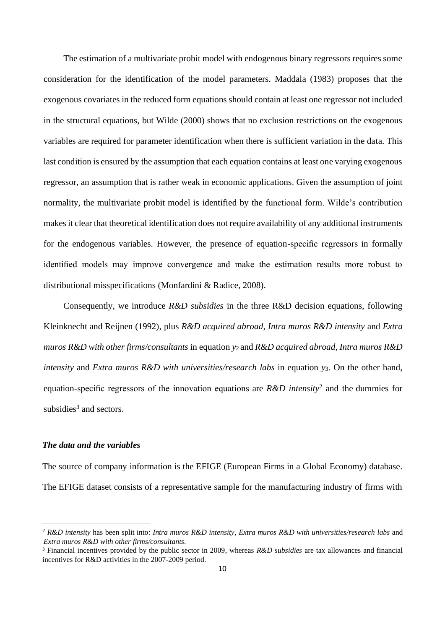The estimation of a multivariate probit model with endogenous binary regressors requires some consideration for the identification of the model parameters. Maddala (1983) proposes that the exogenous covariates in the reduced form equations should contain at least one regressor not included in the structural equations, but Wilde (2000) shows that no exclusion restrictions on the exogenous variables are required for parameter identification when there is sufficient variation in the data. This last condition is ensured by the assumption that each equation contains at least one varying exogenous regressor, an assumption that is rather weak in economic applications. Given the assumption of joint normality, the multivariate probit model is identified by the functional form. Wilde's contribution makes it clear that theoretical identification does not require availability of any additional instruments for the endogenous variables. However, the presence of equation-specific regressors in formally identified models may improve convergence and make the estimation results more robust to distributional misspecifications (Monfardini & Radice, 2008).

Consequently, we introduce *R&D subsidies* in the three R&D decision equations, following Kleinknecht and Reijnen (1992), plus *R&D acquired abroad, Intra muros R&D intensity* and *Extra muros R&D with other firms/consultants* in equation *y*2 and *R&D acquired abroad, Intra muros R&D intensity* and *Extra muros R&D with universities/research labs* in equation *y*3. On the other hand, equation-specific regressors of the innovation equations are *R&D intensity*<sup>2</sup> and the dummies for subsidies<sup>3</sup> and sectors.

## *The data and the variables*

The source of company information is the EFIGE (European Firms in a Global Economy) database. The EFIGE dataset consists of a representative sample for the manufacturing industry of firms with

<sup>2</sup> *R&D intensity* has been split into: *Intra muros R&D intensity, Extra muros R&D with universities/research labs* and *Extra muros R&D with other firms/consultants.*

<sup>3</sup> Financial incentives provided by the public sector in 2009, whereas *R&D subsidies* are tax allowances and financial incentives for R&D activities in the 2007-2009 period.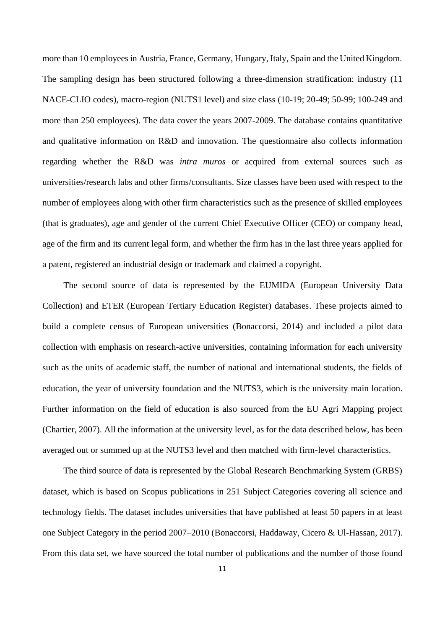more than 10 employees in Austria, France, Germany, Hungary, Italy, Spain and the United Kingdom. The sampling design has been structured following a three-dimension stratification: industry (11 NACE-CLIO codes), macro-region (NUTS1 level) and size class (10-19; 20-49; 50-99; 100-249 and more than 250 employees). The data cover the years 2007-2009. The database contains quantitative and qualitative information on R&D and innovation. The questionnaire also collects information regarding whether the R&D was *intra muros* or acquired from external sources such as universities/research labs and other firms/consultants. Size classes have been used with respect to the number of employees along with other firm characteristics such as the presence of skilled employees (that is graduates), age and gender of the current Chief Executive Officer (CEO) or company head, age of the firm and its current legal form, and whether the firm has in the last three years applied for a patent, registered an industrial design or trademark and claimed a copyright.

The second source of data is represented by the EUMIDA (European University Data Collection) and ETER (European Tertiary Education Register) databases. These projects aimed to build a complete census of European universities (Bonaccorsi, 2014) and included a pilot data collection with emphasis on research-active universities, containing information for each university such as the units of academic staff, the number of national and international students, the fields of education, the year of university foundation and the NUTS3, which is the university main location. Further information on the field of education is also sourced from the EU Agri Mapping project (Chartier, 2007). All the information at the university level, as for the data described below, has been averaged out or summed up at the NUTS3 level and then matched with firm-level characteristics.

The third source of data is represented by the Global Research Benchmarking System (GRBS) dataset, which is based on Scopus publications in 251 Subject Categories covering all science and technology fields. The dataset includes universities that have published at least 50 papers in at least one Subject Category in the period 2007–2010 (Bonaccorsi, Haddaway, Cicero & Ul-Hassan, 2017). From this data set, we have sourced the total number of publications and the number of those found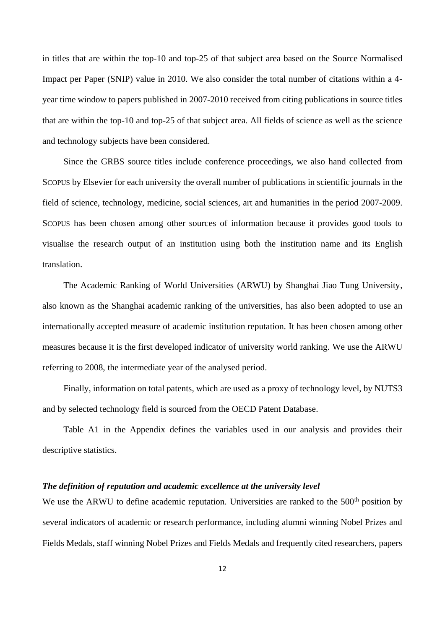in titles that are within the top-10 and top-25 of that subject area based on the Source Normalised Impact per Paper (SNIP) value in 2010. We also consider the total number of citations within a 4 year time window to papers published in 2007-2010 received from citing publications in source titles that are within the top-10 and top-25 of that subject area. All fields of science as well as the science and technology subjects have been considered.

Since the GRBS source titles include conference proceedings, we also hand collected from SCOPUS by Elsevier for each university the overall number of publications in scientific journals in the field of science, technology, medicine, social sciences, art and humanities in the period 2007-2009. SCOPUS has been chosen among other sources of information because it provides good tools to visualise the research output of an institution using both the institution name and its English translation.

The Academic Ranking of World Universities (ARWU) by Shanghai Jiao Tung University, also known as the Shanghai academic ranking of the universities, has also been adopted to use an internationally accepted measure of academic institution reputation. It has been chosen among other measures because it is the first developed indicator of university world ranking. We use the ARWU referring to 2008, the intermediate year of the analysed period.

Finally, information on total patents, which are used as a proxy of technology level, by NUTS3 and by selected technology field is sourced from the OECD Patent Database.

Table A1 in the Appendix defines the variables used in our analysis and provides their descriptive statistics.

## *The definition of reputation and academic excellence at the university level*

We use the ARWU to define academic reputation. Universities are ranked to the 500<sup>th</sup> position by several indicators of academic or research performance, including alumni winning Nobel Prizes and Fields Medals, staff winning Nobel Prizes and Fields Medals and frequently cited researchers, papers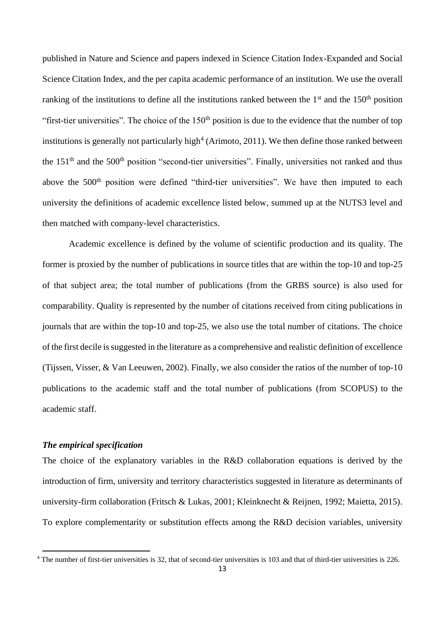published in Nature and Science and papers indexed in Science Citation Index-Expanded and Social Science Citation Index, and the per capita academic performance of an institution. We use the overall ranking of the institutions to define all the institutions ranked between the  $1<sup>st</sup>$  and the  $150<sup>th</sup>$  position "first-tier universities". The choice of the  $150<sup>th</sup>$  position is due to the evidence that the number of top institutions is generally not particularly high<sup>4</sup> (Arimoto, 2011). We then define those ranked between the  $151<sup>th</sup>$  and the  $500<sup>th</sup>$  position "second-tier universities". Finally, universities not ranked and thus above the 500<sup>th</sup> position were defined "third-tier universities". We have then imputed to each university the definitions of academic excellence listed below, summed up at the NUTS3 level and then matched with company-level characteristics.

Academic excellence is defined by the volume of scientific production and its quality. The former is proxied by the number of publications in source titles that are within the top-10 and top-25 of that subject area; the total number of publications (from the GRBS source) is also used for comparability. Quality is represented by the number of citations received from citing publications in journals that are within the top-10 and top-25, we also use the total number of citations. The choice of the first decile is suggested in the literature as a comprehensive and realistic definition of excellence (Tijssen, Visser, & Van Leeuwen, 2002). Finally, we also consider the ratios of the number of top-10 publications to the academic staff and the total number of publications (from SCOPUS) to the academic staff.

## *The empirical specification*

The choice of the explanatory variables in the R&D collaboration equations is derived by the introduction of firm, university and territory characteristics suggested in literature as determinants of university-firm collaboration (Fritsch & Lukas, 2001; Kleinknecht & Reijnen, 1992; Maietta, 2015). To explore complementarity or substitution effects among the R&D decision variables, university

<sup>&</sup>lt;sup>4</sup> The number of first-tier universities is 32, that of second-tier universities is 103 and that of third-tier universities is 226.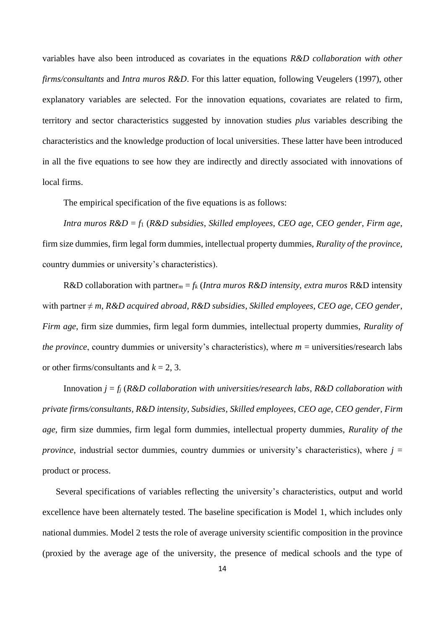variables have also been introduced as covariates in the equations *R&D collaboration with other firms/consultants* and *Intra muros R&D*. For this latter equation, following Veugelers (1997), other explanatory variables are selected. For the innovation equations, covariates are related to firm, territory and sector characteristics suggested by innovation studies *plus* variables describing the characteristics and the knowledge production of local universities. These latter have been introduced in all the five equations to see how they are indirectly and directly associated with innovations of local firms.

The empirical specification of the five equations is as follows:

*Intra muros R&D* = *f*<sup>1</sup> (*R&D subsidies*, *Skilled employees*, *CEO age*, *CEO gender*, *Firm age*, firm size dummies, firm legal form dummies, intellectual property dummies, *Rurality of the province*, country dummies or university's characteristics).

R&D collaboration with partner<sub>m</sub> =  $f_k$  (*Intra muros R&D intensity, extra muros R&D* intensity with partner ≠ *m*, *R&D acquired abroad*, *R&D subsidies*, *Skilled employees*, *CEO age*, *CEO gender*, *Firm age*, firm size dummies, firm legal form dummies, intellectual property dummies, *Rurality of the province*, country dummies or university's characteristics), where  $m =$  universities/research labs or other firms/consultants and  $k = 2, 3$ .

Innovation *j* = *f<sup>j</sup>* (*R&D collaboration with universities/research labs*, *R&D collaboration with private firms/consultants, R&D intensity, Subsidies, Skilled employees*, *CEO age*, *CEO gender*, *Firm age*, firm size dummies, firm legal form dummies, intellectual property dummies, *Rurality of the province*, industrial sector dummies, country dummies or university's characteristics), where  $j =$ product or process.

Several specifications of variables reflecting the university's characteristics, output and world excellence have been alternately tested. The baseline specification is Model 1, which includes only national dummies. Model 2 tests the role of average university scientific composition in the province (proxied by the average age of the university, the presence of medical schools and the type of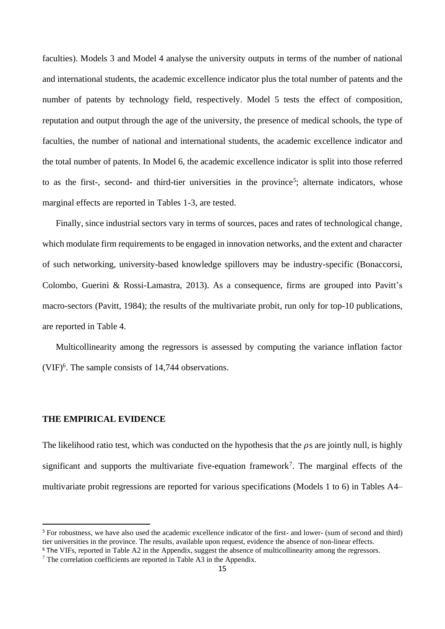faculties). Models 3 and Model 4 analyse the university outputs in terms of the number of national and international students, the academic excellence indicator plus the total number of patents and the number of patents by technology field, respectively. Model 5 tests the effect of composition, reputation and output through the age of the university, the presence of medical schools, the type of faculties, the number of national and international students, the academic excellence indicator and the total number of patents. In Model 6, the academic excellence indicator is split into those referred to as the first-, second- and third-tier universities in the province<sup>5</sup>; alternate indicators, whose marginal effects are reported in Tables 1-3, are tested.

Finally, since industrial sectors vary in terms of sources, paces and rates of technological change, which modulate firm requirements to be engaged in innovation networks, and the extent and character of such networking, university-based knowledge spillovers may be industry-specific (Bonaccorsi, Colombo, Guerini & Rossi-Lamastra, 2013). As a consequence, firms are grouped into Pavitt's macro-sectors (Pavitt, 1984); the results of the multivariate probit, run only for top-10 publications, are reported in Table 4.

Multicollinearity among the regressors is assessed by computing the variance inflation factor (VIF)<sup>6</sup> . The sample consists of 14,744 observations.

#### **THE EMPIRICAL EVIDENCE**

The likelihood ratio test, which was conducted on the hypothesis that the  $\rho s$  are jointly null, is highly significant and supports the multivariate five-equation framework<sup>7</sup>. The marginal effects of the multivariate probit regressions are reported for various specifications (Models 1 to 6) in Tables A4–

<sup>5</sup> For robustness, we have also used the academic excellence indicator of the first- and lower- (sum of second and third) tier universities in the province. The results, available upon request, evidence the absence of non-linear effects.

<sup>&</sup>lt;sup>6</sup> The VIFs, reported in Table A2 in the Appendix, suggest the absence of multicollinearity among the regressors.

<sup>&</sup>lt;sup>7</sup> The correlation coefficients are reported in Table A3 in the Appendix.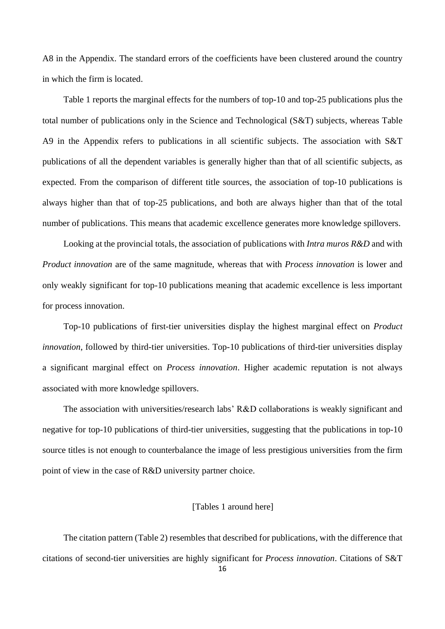A8 in the Appendix. The standard errors of the coefficients have been clustered around the country in which the firm is located.

Table 1 reports the marginal effects for the numbers of top-10 and top-25 publications plus the total number of publications only in the Science and Technological (S&T) subjects, whereas Table A9 in the Appendix refers to publications in all scientific subjects. The association with S&T publications of all the dependent variables is generally higher than that of all scientific subjects, as expected. From the comparison of different title sources, the association of top-10 publications is always higher than that of top-25 publications, and both are always higher than that of the total number of publications. This means that academic excellence generates more knowledge spillovers.

Looking at the provincial totals, the association of publications with *Intra muros R&D* and with *Product innovation* are of the same magnitude, whereas that with *Process innovation* is lower and only weakly significant for top-10 publications meaning that academic excellence is less important for process innovation.

Top-10 publications of first-tier universities display the highest marginal effect on *Product innovation*, followed by third-tier universities. Top-10 publications of third-tier universities display a significant marginal effect on *Process innovation*. Higher academic reputation is not always associated with more knowledge spillovers.

The association with universities/research labs' R&D collaborations is weakly significant and negative for top-10 publications of third-tier universities, suggesting that the publications in top-10 source titles is not enough to counterbalance the image of less prestigious universities from the firm point of view in the case of R&D university partner choice.

## [Tables 1 around here]

The citation pattern (Table 2) resembles that described for publications, with the difference that citations of second-tier universities are highly significant for *Process innovation*. Citations of S&T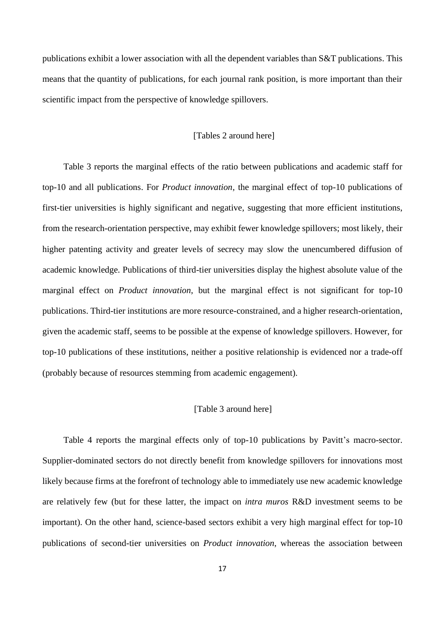publications exhibit a lower association with all the dependent variables than S&T publications. This means that the quantity of publications, for each journal rank position, is more important than their scientific impact from the perspective of knowledge spillovers.

#### [Tables 2 around here]

Table 3 reports the marginal effects of the ratio between publications and academic staff for top-10 and all publications. For *Product innovation*, the marginal effect of top-10 publications of first-tier universities is highly significant and negative, suggesting that more efficient institutions, from the research-orientation perspective, may exhibit fewer knowledge spillovers; most likely, their higher patenting activity and greater levels of secrecy may slow the unencumbered diffusion of academic knowledge. Publications of third-tier universities display the highest absolute value of the marginal effect on *Product innovation*, but the marginal effect is not significant for top-10 publications. Third-tier institutions are more resource-constrained, and a higher research-orientation, given the academic staff, seems to be possible at the expense of knowledge spillovers. However, for top-10 publications of these institutions, neither a positive relationship is evidenced nor a trade-off (probably because of resources stemming from academic engagement).

### [Table 3 around here]

Table 4 reports the marginal effects only of top-10 publications by Pavitt's macro-sector. Supplier-dominated sectors do not directly benefit from knowledge spillovers for innovations most likely because firms at the forefront of technology able to immediately use new academic knowledge are relatively few (but for these latter, the impact on *intra muros* R&D investment seems to be important). On the other hand, science-based sectors exhibit a very high marginal effect for top-10 publications of second-tier universities on *Product innovation*, whereas the association between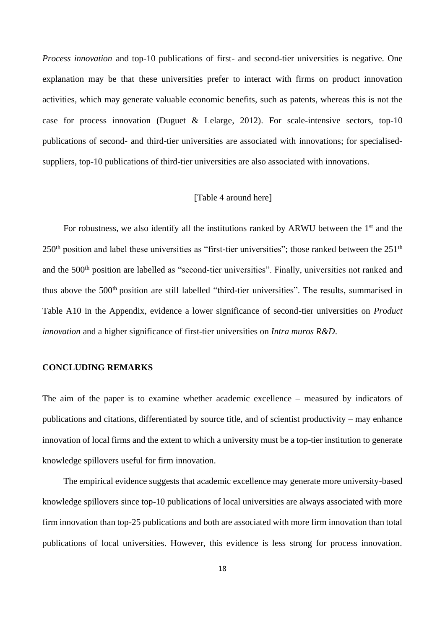*Process innovation* and top-10 publications of first- and second-tier universities is negative. One explanation may be that these universities prefer to interact with firms on product innovation activities, which may generate valuable economic benefits, such as patents, whereas this is not the case for process innovation (Duguet & Lelarge, 2012). For scale-intensive sectors, top-10 publications of second- and third-tier universities are associated with innovations; for specialisedsuppliers, top-10 publications of third-tier universities are also associated with innovations.

#### [Table 4 around here]

For robustness, we also identify all the institutions ranked by ARWU between the  $1<sup>st</sup>$  and the  $250<sup>th</sup>$  position and label these universities as "first-tier universities"; those ranked between the  $251<sup>th</sup>$ and the 500<sup>th</sup> position are labelled as "second-tier universities". Finally, universities not ranked and thus above the 500<sup>th</sup> position are still labelled "third-tier universities". The results, summarised in Table A10 in the Appendix, evidence a lower significance of second-tier universities on *Product innovation* and a higher significance of first-tier universities on *Intra muros R&D*.

#### **CONCLUDING REMARKS**

The aim of the paper is to examine whether academic excellence – measured by indicators of publications and citations, differentiated by source title, and of scientist productivity – may enhance innovation of local firms and the extent to which a university must be a top-tier institution to generate knowledge spillovers useful for firm innovation.

The empirical evidence suggests that academic excellence may generate more university-based knowledge spillovers since top-10 publications of local universities are always associated with more firm innovation than top-25 publications and both are associated with more firm innovation than total publications of local universities. However, this evidence is less strong for process innovation.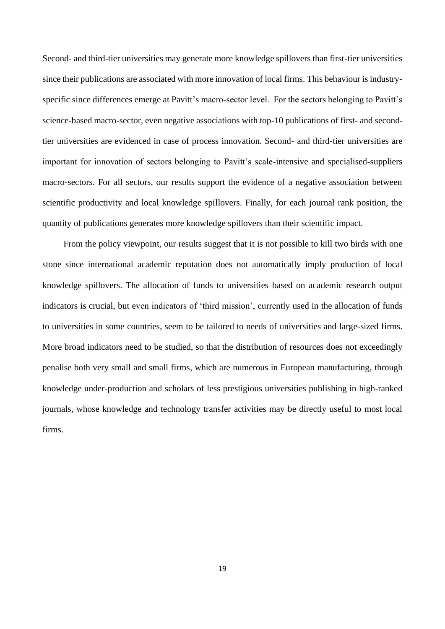Second- and third-tier universities may generate more knowledge spillovers than first-tier universities since their publications are associated with more innovation of local firms. This behaviour is industryspecific since differences emerge at Pavitt's macro-sector level. For the sectors belonging to Pavitt's science-based macro-sector, even negative associations with top-10 publications of first- and secondtier universities are evidenced in case of process innovation. Second- and third-tier universities are important for innovation of sectors belonging to Pavitt's scale-intensive and specialised-suppliers macro-sectors. For all sectors, our results support the evidence of a negative association between scientific productivity and local knowledge spillovers. Finally, for each journal rank position, the quantity of publications generates more knowledge spillovers than their scientific impact.

From the policy viewpoint, our results suggest that it is not possible to kill two birds with one stone since international academic reputation does not automatically imply production of local knowledge spillovers. The allocation of funds to universities based on academic research output indicators is crucial, but even indicators of 'third mission', currently used in the allocation of funds to universities in some countries, seem to be tailored to needs of universities and large-sized firms. More broad indicators need to be studied, so that the distribution of resources does not exceedingly penalise both very small and small firms, which are numerous in European manufacturing, through knowledge under-production and scholars of less prestigious universities publishing in high-ranked journals, whose knowledge and technology transfer activities may be directly useful to most local firms.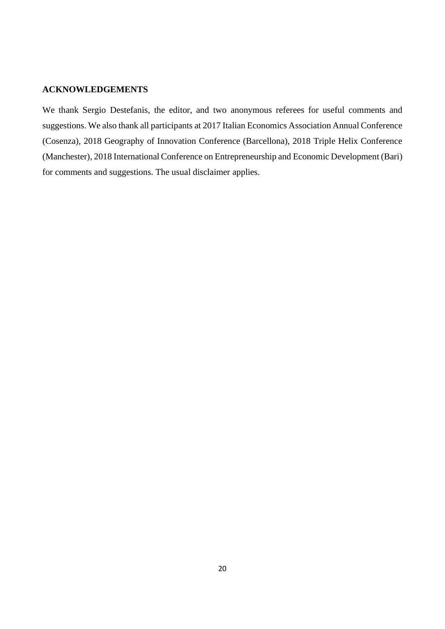## **ACKNOWLEDGEMENTS**

We thank Sergio Destefanis, the editor, and two anonymous referees for useful comments and suggestions. We also thank all participants at 2017 Italian Economics Association Annual Conference (Cosenza), 2018 Geography of Innovation Conference (Barcellona), 2018 Triple Helix Conference (Manchester), 2018 International Conference on Entrepreneurship and Economic Development (Bari) for comments and suggestions. The usual disclaimer applies.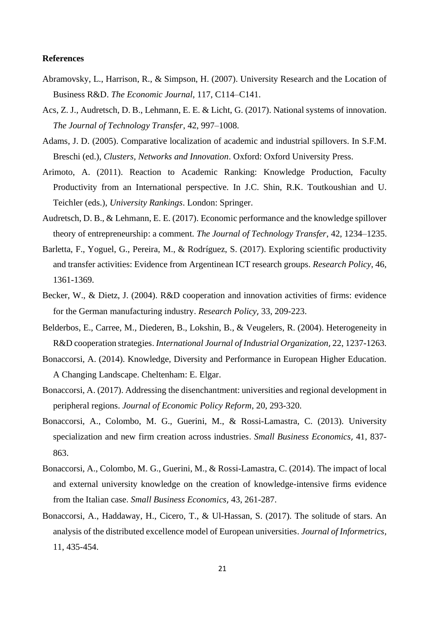#### **References**

- Abramovsky, L., Harrison, R., & Simpson, H. (2007). University Research and the Location of Business R&D. *The Economic Journal*, 117, C114–C141.
- Acs, Z. J., Audretsch, D. B., Lehmann, E. E. & Licht, G. (2017). National systems of innovation. *The Journal of Technology Transfer*, 42, 997–1008.
- Adams, J. D. (2005). Comparative localization of academic and industrial spillovers. In S.F.M. Breschi (ed.), *Clusters, Networks and Innovation*. Oxford: Oxford University Press.
- Arimoto, A. (2011). Reaction to Academic Ranking: Knowledge Production, Faculty Productivity from an International perspective. In J.C. Shin, R.K. Toutkoushian and U. Teichler (eds.), *University Rankings*. London: Springer.
- Audretsch, D. B., & Lehmann, E. E. (2017). Economic performance and the knowledge spillover theory of entrepreneurship: a comment. *The Journal of Technology Transfer*, 42, 1234–1235.
- Barletta, F., Yoguel, G., Pereira, M., & Rodríguez, S. (2017). Exploring scientific productivity and transfer activities: Evidence from Argentinean ICT research groups. *Research Policy*, 46, 1361-1369.
- Becker, W., & Dietz, J. (2004). R&D cooperation and innovation activities of firms: evidence for the German manufacturing industry. *Research Policy*, 33, 209-223.
- Belderbos, E., Carree, M., Diederen, B., Lokshin, B., & Veugelers, R. (2004). Heterogeneity in R&D cooperation strategies. *International Journal of Industrial Organization*, 22, 1237-1263.
- Bonaccorsi, A. (2014). Knowledge, Diversity and Performance in European Higher Education. A Changing Landscape. Cheltenham: E. Elgar.
- Bonaccorsi, A. (2017). Addressing the disenchantment: universities and regional development in peripheral regions. *Journal of Economic Policy Reform*, 20, 293-320.
- Bonaccorsi, A., Colombo, M. G., Guerini, M., & Rossi-Lamastra, C. (2013). University specialization and new firm creation across industries. *Small Business Economics*, 41, 837- 863.
- Bonaccorsi, A., Colombo, M. G., Guerini, M., & Rossi-Lamastra, C. (2014). The impact of local and external university knowledge on the creation of knowledge-intensive firms evidence from the Italian case. *Small Business Economics*, 43, 261-287.
- Bonaccorsi, A., Haddaway, H., Cicero, T., & Ul-Hassan, S. (2017). The solitude of stars. An analysis of the distributed excellence model of European universities. *Journal of Informetrics*, 11, 435-454.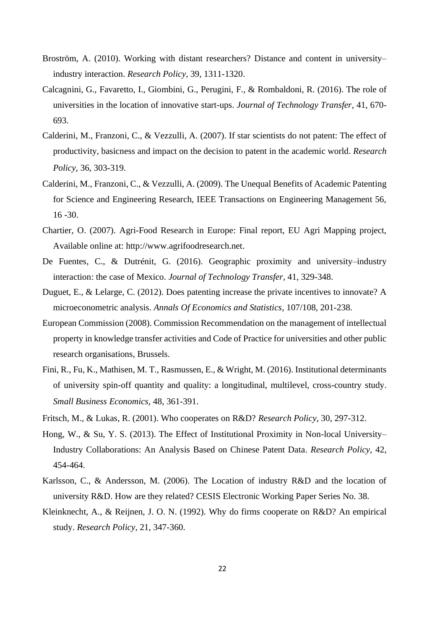- Broström, A. (2010). Working with distant researchers? Distance and content in university– industry interaction. *Research Policy*, 39, 1311-1320.
- Calcagnini, G., Favaretto, I., Giombini, G., Perugini, F., & Rombaldoni, R. (2016). The role of universities in the location of innovative start-ups. *Journal of Technology Transfer*, 41, 670- 693.
- Calderini, M., Franzoni, C., & Vezzulli, A. (2007). If star scientists do not patent: The effect of productivity, basicness and impact on the decision to patent in the academic world. *Research Policy*, 36, 303-319.
- Calderini, M., Franzoni, C., & Vezzulli, A. (2009). The Unequal Benefits of Academic Patenting for Science and Engineering Research, IEEE Transactions on Engineering Management 56, 16 -30.
- Chartier, O. (2007). Agri-Food Research in Europe: Final report, EU Agri Mapping project, Available online at: [http://www.agrifoodresearch.net.](http://www.agrifoodresearch.net/)
- De Fuentes, C., & Dutrénit, G. (2016). Geographic proximity and university–industry interaction: the case of Mexico. *Journal of Technology Transfer*, 41, 329-348.
- Duguet, E., & Lelarge, C. (2012). Does patenting increase the private incentives to innovate? A microeconometric analysis. *Annals Of Economics and Statistics*, 107/108, 201-238.
- European Commission (2008). Commission Recommendation on the management of intellectual property in knowledge transfer activities and Code of Practice for universities and other public research organisations, Brussels.
- Fini, R., Fu, K., Mathisen, M. T., Rasmussen, E., & Wright, M. (2016). Institutional determinants of university spin-off quantity and quality: a longitudinal, multilevel, cross-country study. *Small Business Economics*, 48, 361-391.
- Fritsch, M., & Lukas, R. (2001). Who cooperates on R&D? *Research Policy*, 30, 297-312.
- Hong, W., & Su, Y. S. (2013). The Effect of Institutional Proximity in Non-local University– Industry Collaborations: An Analysis Based on Chinese Patent Data. *Research Policy*, 42, 454-464.
- Karlsson, C., & Andersson, M. (2006). The Location of industry R&D and the location of university R&D. How are they related? CESIS Electronic Working Paper Series No. 38.
- Kleinknecht, A., & Reijnen, J. O. N. (1992). Why do firms cooperate on R&D? An empirical study. *Research Policy*, 21, 347-360.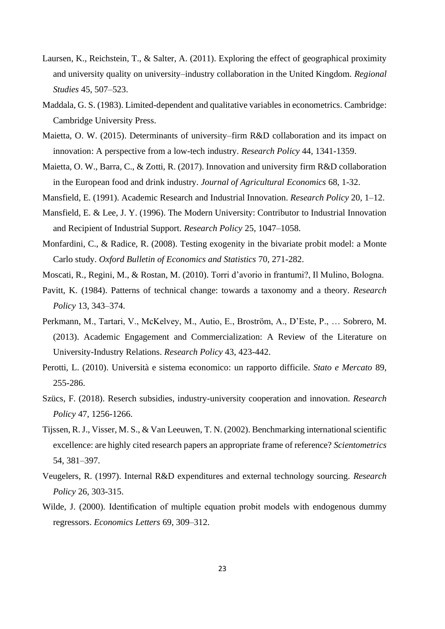- Laursen, K., Reichstein, T., & Salter, A. (2011). Exploring the effect of geographical proximity and university quality on university–industry collaboration in the United Kingdom. *Regional Studies* 45, 507–523.
- Maddala, G. S. (1983). Limited-dependent and qualitative variables in econometrics. Cambridge: Cambridge University Press.
- Maietta, O. W. (2015). Determinants of university–firm R&D collaboration and its impact on innovation: A perspective from a low-tech industry. *Research Policy* 44, 1341-1359.
- Maietta, O. W., Barra, C., & Zotti, R. (2017). Innovation and university firm R&D collaboration in the European food and drink industry. *Journal of Agricultural Economics* 68, 1-32.
- Mansfield, E. (1991). Academic Research and Industrial Innovation. *Research Policy* 20, 1–12.
- Mansfield, E. & Lee, J. Y. (1996). The Modern University: Contributor to Industrial Innovation and Recipient of Industrial Support. *Research Policy* 25, 1047–1058.
- Monfardini, C., & Radice, R. (2008). Testing exogenity in the bivariate probit model: a Monte Carlo study. *Oxford Bulletin of Economics and Statistics* 70, 271-282.
- Moscati, R., Regini, M., & Rostan, M. (2010). Torri d'avorio in frantumi?, Il Mulino, Bologna.
- Pavitt, K. (1984). Patterns of technical change: towards a taxonomy and a theory. *Research Policy* 13, 343–374.
- Perkmann, M., Tartari, V., McKelvey, M., Autio, E., Broström, A., D'Este, P., … Sobrero, M. (2013). Academic Engagement and Commercialization: A Review of the Literature on University-Industry Relations. *Research Policy* 43, 423-442.
- Perotti, L. (2010). Università e sistema economico: un rapporto difficile. *Stato e Mercato* 89, 255-286.
- Szücs, F. (2018). Reserch subsidies, industry-university cooperation and innovation. *Research Policy* 47, 1256-1266.
- Tijssen, R. J., Visser, M. S., & Van Leeuwen, T. N. (2002). Benchmarking international scientific excellence: are highly cited research papers an appropriate frame of reference? *Scientometrics* 54, 381–397.
- Veugelers, R. (1997). Internal R&D expenditures and external technology sourcing. *Research Policy* 26, 303-315.
- Wilde, J. (2000). Identification of multiple equation probit models with endogenous dummy regressors. *Economics Letters* 69, 309–312.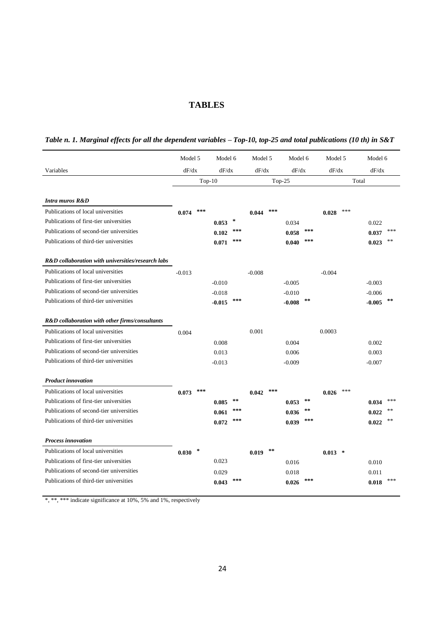## **TABLES**

|  |  |  |  | Table n. 1. Marginal effects for all the dependent variables - Top-10, top-25 and total publications (10 th) in S&T |  |  |
|--|--|--|--|---------------------------------------------------------------------------------------------------------------------|--|--|
|  |  |  |  |                                                                                                                     |  |  |

|                                                   | Model 5  |          |          | Model 6    |                | Model 5 | Model 6   |            | Model 5   |     | Model 6  |       |
|---------------------------------------------------|----------|----------|----------|------------|----------------|---------|-----------|------------|-----------|-----|----------|-------|
| Variables                                         | dF/dx    |          | dF/dx    |            | dF/dx<br>dF/dx |         |           | dF/dx      |           |     | dF/dx    |       |
|                                                   |          | $Top-10$ |          |            |                |         | Top- $25$ |            |           |     | Total    |       |
| <b>Intra muros R&amp;D</b>                        |          |          |          |            |                |         |           |            |           |     |          |       |
| Publications of local universities                | 0.074    | ***      |          |            | 0.044          | ***     |           |            | 0.028     | *** |          |       |
| Publications of first-tier universities           |          |          | 0.053    | $\star$    |                |         | 0.034     |            |           |     | 0.022    |       |
| Publications of second-tier universities          |          |          | 0.102    | ***        |                |         | 0.058     | ***        |           |     | 0.037    | ***   |
| Publications of third-tier universities           |          |          | 0.071    | ***        |                |         | 0.040     | ***        |           |     | 0.023    | **    |
| R&D collaboration with universities/research labs |          |          |          |            |                |         |           |            |           |     |          |       |
| Publications of local universities                | $-0.013$ |          |          |            | $-0.008$       |         |           |            | $-0.004$  |     |          |       |
| Publications of first-tier universities           |          |          | $-0.010$ |            |                |         | $-0.005$  |            |           |     | $-0.003$ |       |
| Publications of second-tier universities          |          |          | $-0.018$ |            |                |         | $-0.010$  |            |           |     | $-0.006$ |       |
| Publications of third-tier universities           |          |          | $-0.015$ | $***$      |                |         | $-0.008$  | $**$       |           |     | $-0.005$ | **    |
| R&D collaboration with other firms/consultants    |          |          |          |            |                |         |           |            |           |     |          |       |
| Publications of local universities                | 0.004    |          |          |            | 0.001          |         |           |            | 0.0003    |     |          |       |
| Publications of first-tier universities           |          |          | 0.008    |            |                |         | 0.004     |            |           |     | 0.002    |       |
| Publications of second-tier universities          |          |          | 0.013    |            |                |         | 0.006     |            |           |     | 0.003    |       |
| Publications of third-tier universities           |          |          | $-0.013$ |            |                |         | $-0.009$  |            |           |     | $-0.007$ |       |
| <b>Product innovation</b>                         |          |          |          |            |                |         |           |            |           |     |          |       |
| Publications of local universities                | 0.073    | ***      |          |            | 0.042          | ***     |           |            | 0.026     | *** |          |       |
| Publications of first-tier universities           |          |          | 0.085    | $\pm\,\pm$ |                |         | 0.053     | $\pm\,\pm$ |           |     | 0.034    | ***   |
| Publications of second-tier universities          |          |          | 0.061    | ***        |                |         | 0.036     | $**$       |           |     | 0.022    |       |
| Publications of third-tier universities           |          |          | 0.072    | ***        |                |         | 0.039     | ***        |           |     | 0.022    | sk sk |
| <b>Process innovation</b>                         |          |          |          |            |                |         |           |            |           |     |          |       |
| Publications of local universities                | 0.030    | $\ast$   |          |            | 0.019          | $**$    |           |            | $0.013$ * |     |          |       |
| Publications of first-tier universities           |          |          | 0.023    |            |                |         | 0.016     |            |           |     | 0.010    |       |
| Publications of second-tier universities          |          |          | 0.029    |            |                |         | 0.018     |            |           |     | 0.011    |       |
| Publications of third-tier universities           |          |          | 0.043    | ***        |                |         | 0.026     | ***        |           |     | 0.018    | ***   |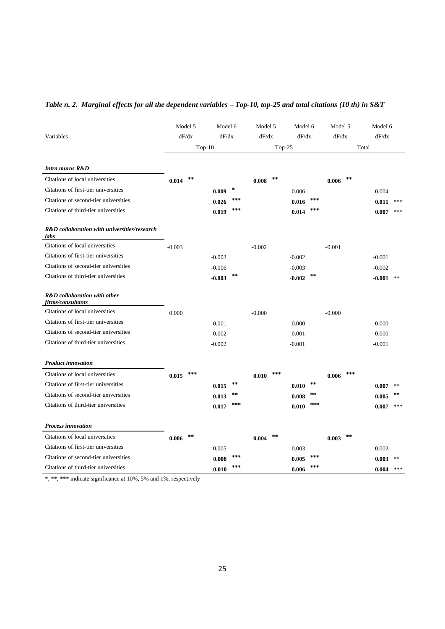# *Table n. 2. Marginal effects for all the dependent variables – Top-10, top-25 and total citations (10 th) in S&T*

|                                                      | Model 5  |       | Model 6  |                 | Model 5  |     |          | Model 6    |          | Model 5 | Model 6  |               |
|------------------------------------------------------|----------|-------|----------|-----------------|----------|-----|----------|------------|----------|---------|----------|---------------|
| Variables                                            |          | dF/dx | dF/dx    |                 | dF/dx    |     |          | dF/dx      |          | dF/dx   | dF/dx    |               |
|                                                      | $Top-10$ |       | $Top-25$ |                 |          |     | Total    |            |          |         |          |               |
|                                                      |          |       |          |                 |          |     |          |            |          |         |          |               |
| Intra muros R&D                                      |          |       |          |                 |          |     |          |            |          |         |          |               |
| Citations of local universities                      | 0.014    | **    |          |                 | 0.008    | **  |          |            | 0.006    | $**$    |          |               |
| Citations of first-tier universities                 |          |       | 0.009    | $\ast$          |          |     | 0.006    |            |          |         | 0.004    |               |
| Citations of second-tier universities                |          |       | 0.026    | ***             |          |     | 0.016    | ***        |          |         | 0.011    | ***           |
| Citations of third-tier universities                 |          |       | 0.019    | $***$           |          |     | 0.014    | ***        |          |         | 0.007    | ***           |
| R&D collaboration with universities/research<br>labs |          |       |          |                 |          |     |          |            |          |         |          |               |
| Citations of local universities                      | $-0.003$ |       |          |                 | $-0.002$ |     |          |            | $-0.001$ |         |          |               |
| Citations of first-tier universities                 |          |       | $-0.003$ |                 |          |     | $-0.002$ |            |          |         | $-0.001$ |               |
| Citations of second-tier universities                |          |       | $-0.006$ |                 |          |     | $-0.003$ |            |          |         | $-0.002$ |               |
| Citations of third-tier universities                 |          |       | $-0.003$ | $\star$ $\star$ |          |     | $-0.002$ | **         |          |         | $-0.001$ | $**$          |
| R&D collaboration with other<br>firms/consultants    |          |       |          |                 |          |     |          |            |          |         |          |               |
| Citations of local universities                      | 0.000    |       |          |                 | $-0.000$ |     |          |            | $-0.000$ |         |          |               |
| Citations of first-tier universities                 |          |       | 0.001    |                 |          |     | 0.000    |            |          |         | 0.000    |               |
| Citations of second-tier universities                |          |       | 0.002    |                 |          |     | 0.001    |            |          |         | 0.000    |               |
| Citations of third-tier universities                 |          |       | $-0.002$ |                 |          |     | $-0.001$ |            |          |         | $-0.001$ |               |
| <b>Product innovation</b>                            |          |       |          |                 |          |     |          |            |          |         |          |               |
| Citations of local universities                      | 0.015    | ***   |          |                 | 0.010    | *** |          |            | 0.006    | ***     |          |               |
| Citations of first-tier universities                 |          |       | 0.015    | $\star$ $\star$ |          |     | 0.010    | $\ast\ast$ |          |         | 0.007    | 冰冻            |
| Citations of second-tier universities                |          |       | 0.013    | $\ast\ast$      |          |     | 0.008    | **         |          |         | 0.005    | $\ast$ $\ast$ |
| Citations of third-tier universities                 |          |       | 0.017    | ***             |          |     | 0.010    | ***        |          |         | 0.007    | ***           |
| <b>Process innovation</b>                            |          |       |          |                 |          |     |          |            |          |         |          |               |
| Citations of local universities                      | 0.006    | $**$  |          |                 | 0.004    | **  |          |            | 0.003    | $**$    |          |               |
| Citations of first-tier universities                 |          |       | 0.005    |                 |          |     | 0.003    |            |          |         | 0.002    |               |
| Citations of second-tier universities                |          |       | 0.008    | ***             |          |     | 0.005    | ***        |          |         | 0.003    | **            |
| Citations of third-tier universities                 |          |       | 0.010    | ***             |          |     | 0.006    | ***        |          |         | 0.004    | ***           |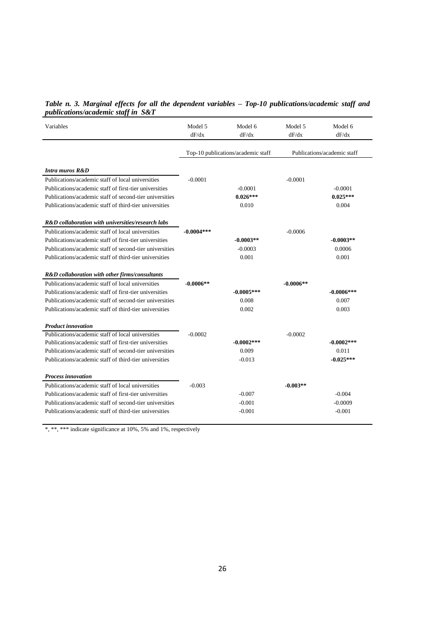| Table n. 3. Marginal effects for all the dependent variables - Top-10 publications/academic staff and |  |  |  |
|-------------------------------------------------------------------------------------------------------|--|--|--|
| <i>publications/academic staff in S&amp;T</i>                                                         |  |  |  |

| Variables                                               | Model 5<br>dF/dx                   | Model 6<br>dF/dx | Model 5<br>dF/dx | Model 6<br>dF/dx            |
|---------------------------------------------------------|------------------------------------|------------------|------------------|-----------------------------|
|                                                         | Top-10 publications/academic staff |                  |                  | Publications/academic staff |
| Intra muros R&D                                         |                                    |                  |                  |                             |
| Publications/academic staff of local universities       | $-0.0001$                          |                  | $-0.0001$        |                             |
| Publications/academic staff of first-tier universities  |                                    | $-0.0001$        |                  | $-0.0001$                   |
| Publications/academic staff of second-tier universities |                                    | $0.026***$       |                  | $0.025***$                  |
| Publications/academic staff of third-tier universities  |                                    | 0.010            |                  | 0.004                       |
| R&D collaboration with universities/research labs       |                                    |                  |                  |                             |
| Publications/academic staff of local universities       | $-0.0004$ ***                      |                  | $-0.0006$        |                             |
| Publications/academic staff of first-tier universities  |                                    | $-0.0003**$      |                  | $-0.0003**$                 |
| Publications/academic staff of second-tier universities |                                    | $-0.0003$        |                  | 0.0006                      |
| Publications/academic staff of third-tier universities  |                                    | 0.001            |                  | 0.001                       |
| R&D collaboration with other firms/consultants          |                                    |                  |                  |                             |
| Publications/academic staff of local universities       | $-0.0006**$                        |                  | $-0.0006**$      |                             |
| Publications/academic staff of first-tier universities  |                                    | $-0.0005***$     |                  | $-0.0006***$                |
| Publications/academic staff of second-tier universities |                                    | 0.008            |                  | 0.007                       |
| Publications/academic staff of third-tier universities  |                                    | 0.002            |                  | 0.003                       |
| <b>Product innovation</b>                               |                                    |                  |                  |                             |
| Publications/academic staff of local universities       | $-0.0002$                          |                  | $-0.0002$        |                             |
| Publications/academic staff of first-tier universities  |                                    | $-0.0002***$     |                  | $-0.0002***$                |
| Publications/academic staff of second-tier universities |                                    | 0.009            |                  | 0.011                       |
| Publications/academic staff of third-tier universities  |                                    | $-0.013$         |                  | $-0.025***$                 |
| <b>Process innovation</b>                               |                                    |                  |                  |                             |
| Publications/academic staff of local universities       | $-0.003$                           |                  | $-0.003**$       |                             |
| Publications/academic staff of first-tier universities  |                                    | $-0.007$         |                  | $-0.004$                    |
| Publications/academic staff of second-tier universities |                                    | $-0.001$         |                  | $-0.0009$                   |
| Publications/academic staff of third-tier universities  |                                    | $-0.001$         |                  | $-0.001$                    |